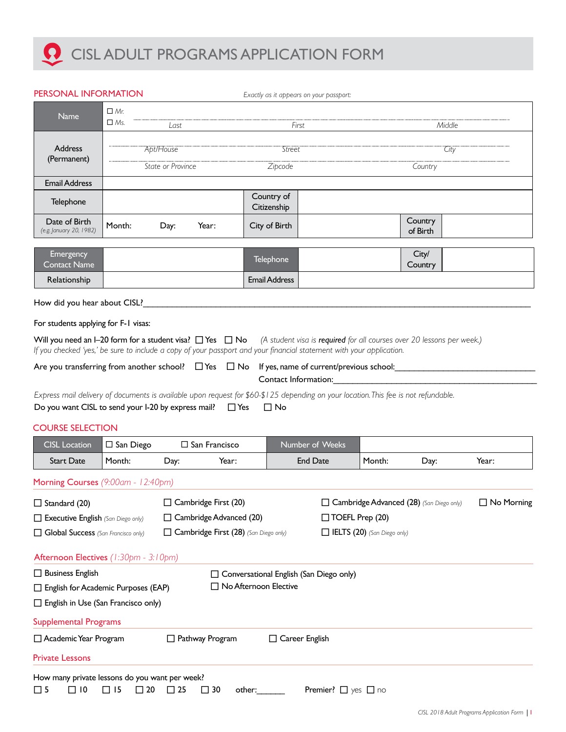## **Q** CISL ADULT PROGRAMS APPLICATION FORM

| PERSONAL INFORMATION                                                                                                                       |                                             |                   |                                       |                                          | Exactly as it appears on your passport:        |                                    |                                                                                                                       |              |  |
|--------------------------------------------------------------------------------------------------------------------------------------------|---------------------------------------------|-------------------|---------------------------------------|------------------------------------------|------------------------------------------------|------------------------------------|-----------------------------------------------------------------------------------------------------------------------|--------------|--|
| Name                                                                                                                                       | $\Box$ Mr.                                  |                   |                                       |                                          |                                                |                                    |                                                                                                                       |              |  |
|                                                                                                                                            | $\Box$ Ms.<br>Last                          |                   |                                       | First                                    |                                                | Middle                             |                                                                                                                       |              |  |
| <b>Address</b>                                                                                                                             |                                             | Apt/House         |                                       | Street                                   |                                                | City                               |                                                                                                                       |              |  |
| (Permanent)                                                                                                                                |                                             | State or Province |                                       | Zipcode                                  |                                                | Country                            |                                                                                                                       |              |  |
| <b>Email Address</b>                                                                                                                       |                                             |                   |                                       |                                          |                                                |                                    |                                                                                                                       |              |  |
| Telephone                                                                                                                                  |                                             |                   |                                       | Country of<br>Citizenship                |                                                |                                    |                                                                                                                       |              |  |
| Date of Birth<br>(e.g. January 20, 1982)                                                                                                   | Month:                                      | Day:              | Year:                                 | City of Birth                            |                                                |                                    | Country<br>of Birth                                                                                                   |              |  |
| <b>Emergency</b><br><b>Contact Name</b>                                                                                                    |                                             |                   |                                       | <b>Telephone</b>                         |                                                |                                    | City/<br>Country                                                                                                      |              |  |
| Relationship                                                                                                                               |                                             |                   |                                       | <b>Email Address</b>                     |                                                |                                    |                                                                                                                       |              |  |
| How did you hear about CISL?                                                                                                               |                                             |                   |                                       |                                          |                                                |                                    |                                                                                                                       |              |  |
| For students applying for F-1 visas:                                                                                                       |                                             |                   |                                       |                                          |                                                |                                    |                                                                                                                       |              |  |
| Will you need an I-20 form for a student visa? $\Box$ Yes $\Box$ No (A student visa is required for all courses over 20 lessons per week.) |                                             |                   |                                       |                                          |                                                |                                    |                                                                                                                       |              |  |
| If you checked 'yes,' be sure to include a copy of your passport and your financial statement with your application.                       |                                             |                   |                                       |                                          |                                                |                                    |                                                                                                                       |              |  |
| Are you transferring from another school? $\Box$ Yes $\Box$ No If yes, name of current/previous school:                                    |                                             |                   |                                       |                                          |                                                |                                    |                                                                                                                       |              |  |
|                                                                                                                                            |                                             |                   |                                       | Contact Information:                     |                                                |                                    | <u> 1980 - Jan Barbara, manazarta da kasas da kasas da kasas da kasas da kasas da kasas da kasas da kasas da kasa</u> |              |  |
| Express mail delivery of documents is available upon request for \$60-\$125 depending on your location. This fee is not refundable.        |                                             |                   |                                       |                                          |                                                |                                    |                                                                                                                       |              |  |
| Do you want CISL to send your I-20 by express mail? $\square$ Yes                                                                          |                                             |                   |                                       | $\Box$ No                                |                                                |                                    |                                                                                                                       |              |  |
| <b>COURSE SELECTION</b>                                                                                                                    |                                             |                   |                                       |                                          |                                                |                                    |                                                                                                                       |              |  |
| <b>CISL Location</b>                                                                                                                       | $\Box$ San Diego<br>$\square$ San Francisco |                   |                                       |                                          | Number of Weeks                                |                                    |                                                                                                                       |              |  |
| <b>Start Date</b>                                                                                                                          | Month:                                      | Day:              | Year:                                 |                                          | <b>End Date</b>                                | Month:                             | Day:                                                                                                                  | Year:        |  |
| Morning Courses (9:00am - 12:40pm)                                                                                                         |                                             |                   |                                       |                                          |                                                |                                    |                                                                                                                       |              |  |
| $\Box$ Standard (20)                                                                                                                       | $\Box$ Cambridge First (20)                 |                   |                                       | Cambridge Advanced (28) (San Diego only) |                                                |                                    |                                                                                                                       | □ No Morning |  |
| □ Cambridge Advanced (20)<br>Executive English (San Diego only)                                                                            |                                             |                   |                                       | $\Box$ TOEFL Prep (20)                   |                                                |                                    |                                                                                                                       |              |  |
| Global Success (San Francisco only)                                                                                                        |                                             |                   | Cambridge First (28) (San Diego only) |                                          |                                                | <b>IELTS</b> (20) (San Diego only) |                                                                                                                       |              |  |
| Afternoon Electives (1:30pm - 3:10pm)                                                                                                      |                                             |                   |                                       |                                          |                                                |                                    |                                                                                                                       |              |  |
| $\Box$ Business English                                                                                                                    |                                             |                   |                                       |                                          | $\Box$ Conversational English (San Diego only) |                                    |                                                                                                                       |              |  |
| $\Box$ English for Academic Purposes (EAP)                                                                                                 |                                             |                   | □ No Afternoon Elective               |                                          |                                                |                                    |                                                                                                                       |              |  |
| $\Box$ English in Use (San Francisco only)                                                                                                 |                                             |                   |                                       |                                          |                                                |                                    |                                                                                                                       |              |  |
| <b>Supplemental Programs</b>                                                                                                               |                                             |                   |                                       |                                          |                                                |                                    |                                                                                                                       |              |  |
| Academic Year Program                                                                                                                      |                                             |                   | $\Box$ Pathway Program                | □ Career English                         |                                                |                                    |                                                                                                                       |              |  |
| <b>Private Lessons</b>                                                                                                                     |                                             |                   |                                       |                                          |                                                |                                    |                                                                                                                       |              |  |
| How many private lessons do you want per week?                                                                                             |                                             |                   |                                       |                                          |                                                |                                    |                                                                                                                       |              |  |
|                                                                                                                                            |                                             |                   |                                       |                                          |                                                |                                    |                                                                                                                       |              |  |